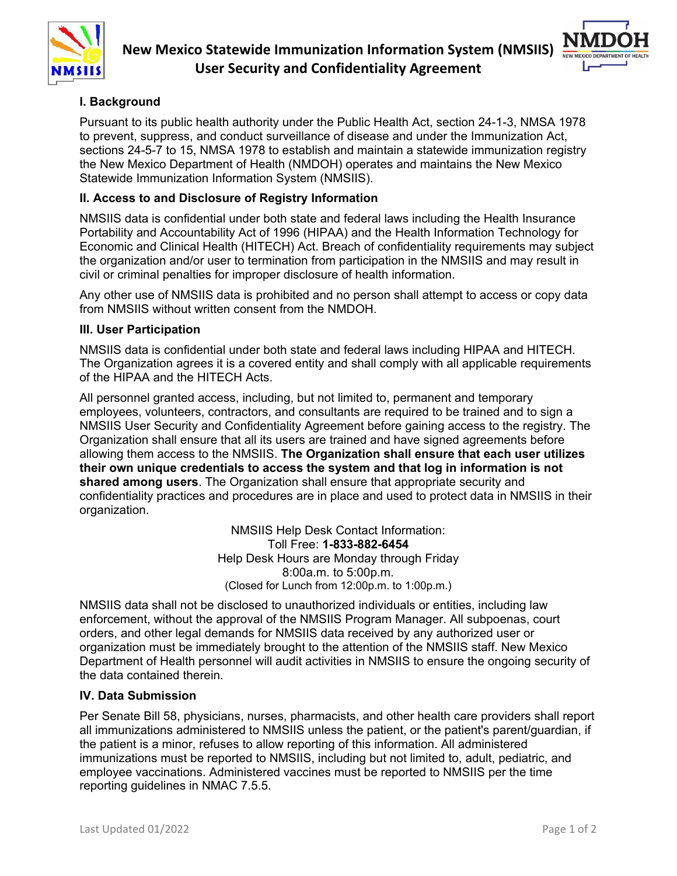



# **I. Background**

Pursuant to its public health authority under the Public Health Act, section 24-1-3, NMSA 1978 to prevent, suppress, and conduct surveillance of disease and under the Immunization Act, sections 24-5-7 to 15, NMSA 1978 to establish and maintain a statewide immunization registry the New Mexico Department of Health (NMDOH) operates and maintains the New Mexico Statewide Immunization Information System (NMSIIS).

## **II. Access to and Disclosure of Registry Information**

NMSIIS data is confidential under both state and federal laws including the Health Insurance Portability and Accountability Act of 1996 (HIPAA) and the Health Information Technology for Economic and Clinical Health (HITECH) Act. Breach of confidentiality requirements may subject the organization and/or user to termination from participation in the NMSIIS and may result in civil or criminal penalties for improper disclosure of health information.

Any other use of NMSIIS data is prohibited and no person shall attempt to access or copy data from NMSIIS without written consent from the NMDOH.

#### **III. User Participation**

NMSIIS data is confidential under both state and federal laws including HIPAA and HITECH. The Organization agrees it is a covered entity and shall comply with all applicable requirements of the HIPAA and the HITECH Acts.

All personnel granted access, including, but not limited to, permanent and temporary employees, volunteers, contractors, and consultants are required to be trained and to sign a NMSIIS User Security and Confidentiality Agreement before gaining access to the registry. The Organization shall ensure that all its users are trained and have signed agreements before allowing them access to the NMSIIS. **The Organization shall ensure that each user utilizes their own unique credentials to access the system and that log in information is not shared among users**. The Organization shall ensure that appropriate security and confidentiality practices and procedures are in place and used to protect data in NMSIIS in their organization.

> NMSIIS Help Desk Contact Information: Toll Free: **1-833-882-6454** Help Desk Hours are Monday through Friday 8:00a.m. to 5:00p.m. (Closed for Lunch from 12:00p.m. to 1:00p.m.)

NMSIIS data shall not be disclosed to unauthorized individuals or entities, including law enforcement, without the approval of the NMSIIS Program Manager. All subpoenas, court orders, and other legal demands for NMSIIS data received by any authorized user or organization must be immediately brought to the attention of the NMSIIS staff. New Mexico Department of Health personnel will audit activities in NMSIIS to ensure the ongoing security of the data contained therein.

### **IV. Data Submission**

Per Senate Bill 58, physicians, nurses, pharmacists, and other health care providers shall report all immunizations administered to NMSIIS unless the patient, or the patient's parent/guardian, if the patient is a minor, refuses to allow reporting of this information. All administered immunizations must be reported to NMSIIS, including but not limited to, adult, pediatric, and employee vaccinations. Administered vaccines must be reported to NMSIIS per the time reporting guidelines in NMAC 7.5.5.